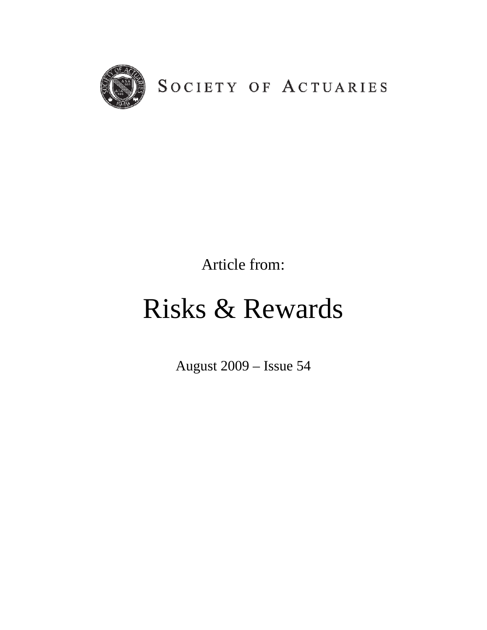

Article from:

# Risks & Rewards

August 2009 – Issue 54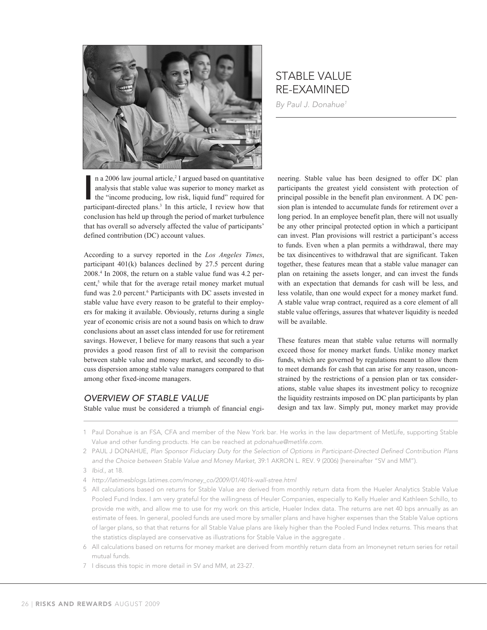

# STABLE VALUE RE-EXAMINED

*By Paul J. Donahue1*

n a 2006 law journal article,<sup>2</sup> I argued based on quantitative analysis that stable value was superior to money market as the "income producing, low risk, liquid fund" required for participant-directed plans.<sup>3</sup> In this a n a 2006 law journal article,<sup>2</sup> I argued based on quantitative analysis that stable value was superior to money market as the "income producing, low risk, liquid fund" required for conclusion has held up through the period of market turbulence that has overall so adversely affected the value of participants' defined contribution (DC) account values.

According to a survey reported in the *Los Angeles Times*, participant 401(k) balances declined by 27.5 percent during 2008.4 In 2008, the return on a stable value fund was 4.2 percent,<sup>5</sup> while that for the average retail money market mutual fund was 2.0 percent.<sup>6</sup> Participants with DC assets invested in stable value have every reason to be grateful to their employers for making it available. Obviously, returns during a single year of economic crisis are not a sound basis on which to draw conclusions about an asset class intended for use for retirement savings. However, I believe for many reasons that such a year provides a good reason first of all to revisit the comparison between stable value and money market, and secondly to discuss dispersion among stable value managers compared to that among other fixed-income managers.

#### *OVERVIEW OF STABLE VALUE*

Stable value must be considered a triumph of financial engi-

neering. Stable value has been designed to offer DC plan participants the greatest yield consistent with protection of principal possible in the benefit plan environment. A DC pension plan is intended to accumulate funds for retirement over a long period. In an employee benefit plan, there will not usually be any other principal protected option in which a participant can invest. Plan provisions will restrict a participant's access to funds. Even when a plan permits a withdrawal, there may be tax disincentives to withdrawal that are significant. Taken together, these features mean that a stable value manager can plan on retaining the assets longer, and can invest the funds with an expectation that demands for cash will be less, and less volatile, than one would expect for a money market fund. A stable value wrap contract, required as a core element of all stable value offerings, assures that whatever liquidity is needed will be available.

These features mean that stable value returns will normally exceed those for money market funds. Unlike money market funds, which are governed by regulations meant to allow them to meet demands for cash that can arise for any reason, unconstrained by the restrictions of a pension plan or tax considerations, stable value shapes its investment policy to recognize the liquidity restraints imposed on DC plan participants by plan design and tax law. Simply put, money market may provide

- 1 Paul Donahue is an FSA, CFA and member of the New York bar. He works in the law department of MetLife, supporting Stable Value and other funding products. He can be reached at *pdonahue@metlife.com.*
- 2 PAUL J DONAHUE, *Plan Sponsor Fiduciary Duty for the Selection of Options in Participant-Directed Defined Contribution Plans and the Choice between Stable Value and Money Market,* 39:1 AKRON L. REV. 9 (2006) [hereinafter "SV and MM"). 3 *Ibid.,* at 18.
- 4 *http://latimesblogs.latimes.com/money\_co/2009/01/401k-wall-stree.html*
- 5 All calculations based on returns for Stable Value are derived from monthly return data from the Hueler Analytics Stable Value Pooled Fund Index. I am very grateful for the willingness of Heuler Companies, especially to Kelly Hueler and Kathleen Schillo, to provide me with, and allow me to use for my work on this article, Hueler Index data. The returns are net 40 bps annually as an estimate of fees. In general, pooled funds are used more by smaller plans and have higher expenses than the Stable Value options of larger plans, so that that returns for all Stable Value plans are likely higher than the Pooled Fund Index returns. This means that the statistics displayed are conservative as illustrations for Stable Value in the aggregate
- 6 All calculations based on returns for money market are derived from monthly return data from an Imoneynet return series for retail mutual funds.
- 7 I discuss this topic in more detail in SV and MM, at 23-27.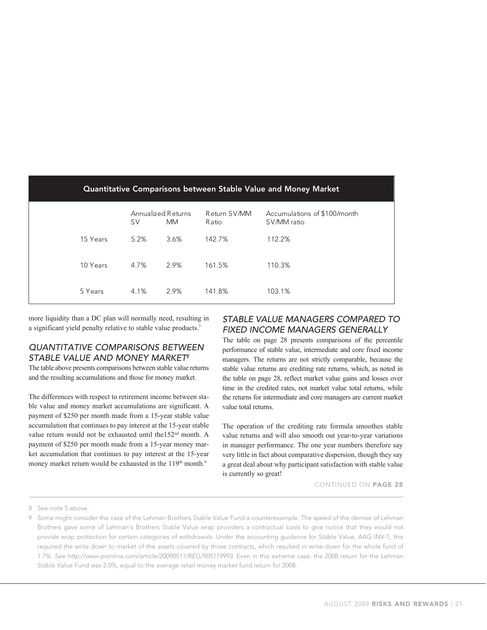| Quantitative Comparisons between Stable Value and Money Market |           |                                 |                       |                                             |  |  |  |  |  |  |  |  |  |
|----------------------------------------------------------------|-----------|---------------------------------|-----------------------|---------------------------------------------|--|--|--|--|--|--|--|--|--|
|                                                                | <b>SV</b> | Annualized Returns<br><b>MM</b> | Return SV/MM<br>Ratio | Accumulations of \$100/month<br>SV/MM ratio |  |  |  |  |  |  |  |  |  |
| 15 Years                                                       | 5.2%      | 3.6%                            | 142.7%                | 112.2%                                      |  |  |  |  |  |  |  |  |  |
| 10 Years                                                       | 4.7%      | 2.9%                            | 161.5%                | 110.3%                                      |  |  |  |  |  |  |  |  |  |
| 5 Years                                                        | 4.1%      | 2.9%                            | 141.8%                | 103.1%                                      |  |  |  |  |  |  |  |  |  |

more liquidity than a DC plan will normally need, resulting in a significant yield penalty relative to stable value products.<sup>7</sup>

## *QUANTITATIVE COMPARISONS BETWEEN STABLE VALUE AND MONEY MARKET8*

The table above presents comparisons between stable value returns and the resulting accumulations and those for money market.

The differences with respect to retirement income between stable value and money market accumulations are significant. A payment of \$250 per month made from a 15-year stable value accumulation that continues to pay interest at the 15-year stable value return would not be exhausted until the152<sup>nd</sup> month. A payment of \$250 per month made from a 15-year money market accumulation that continues to pay interest at the 15-year money market return would be exhausted in the 119<sup>th</sup> month.<sup>9</sup>

## ulting in **STABLE VALUE MANAGERS COMPARED TO** e value products.<sup>7</sup> FIXED INCOME MANAGERS GENERALLY

The table on page 28 presents comparisons of the percentile VE COMPARISONS BETWEEN performance of stable value, intermediate and core fixed income **JE AND MONEY MARKET<sup>8</sup>** managers. The returns are not strictly comparable, because the sents comparisons between stable value returns stable value returns are crediting rate returns, which, as noted in cumulations and those for money market. The table on page 28, reflect market value gains and losses over time in the credited rates, not market value total returns, while time in the credited rates, not market value total returns, while th respect to retirement income between sta-<br>the returns for intermediate and core managers are current market value total returns.

continues to pay interest at the 15-year stable The operation of the crediting rate formula smoothes stable value returns and will also smooth out year-to-year variations in manager performance. The one year numbers therefore say very little in fact about comparative dispersion, though they say a great deal about why participant satisfaction with stable value is currently so great!

CONTINUED ON PAGE 28

8 See note 5 above.

<sup>9</sup> Some might consider the case of the Lehman Brothers Stable Value Fund a counterexample. The speed of the demise of Lehman Brothers gave some of Lehman's Brothers Stable Value wrap providers a contractual basis to give notice that they would not provide wrap protection for certain categories of withdrawals. Under the accounting guidance for Stable Value, AAG INV-1, this required the write down to market of the assets covered by those contracts, which resulted in write-down for the whole fund of 1.7%. *See http://www.pionline.com/article/20090511/REG/905119993.* Even in this extreme case, the 2008 return for the Lehman Stable Value Fund was 2.0%, equal to the average retail money market fund return for 2008.